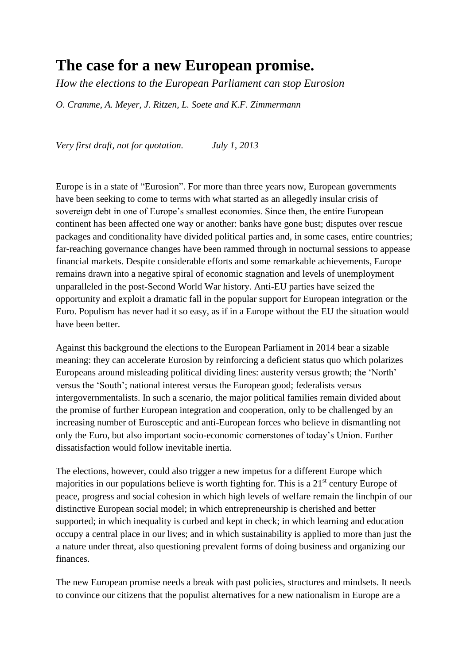# **The case for a new European promise.**

*How the elections to the European Parliament can stop Eurosion*

*O. Cramme, A. Meyer, J. Ritzen, L. Soete and K.F. Zimmermann*

*Very first draft, not for quotation. July 1, 2013*

Europe is in a state of "Eurosion". For more than three years now, European governments have been seeking to come to terms with what started as an allegedly insular crisis of sovereign debt in one of Europe's smallest economies. Since then, the entire European continent has been affected one way or another: banks have gone bust; disputes over rescue packages and conditionality have divided political parties and, in some cases, entire countries; far-reaching governance changes have been rammed through in nocturnal sessions to appease financial markets. Despite considerable efforts and some remarkable achievements, Europe remains drawn into a negative spiral of economic stagnation and levels of unemployment unparalleled in the post-Second World War history. Anti-EU parties have seized the opportunity and exploit a dramatic fall in the popular support for European integration or the Euro. Populism has never had it so easy, as if in a Europe without the EU the situation would have been better.

Against this background the elections to the European Parliament in 2014 bear a sizable meaning: they can accelerate Eurosion by reinforcing a deficient status quo which polarizes Europeans around misleading political dividing lines: austerity versus growth; the "North" versus the "South"; national interest versus the European good; federalists versus intergovernmentalists. In such a scenario, the major political families remain divided about the promise of further European integration and cooperation, only to be challenged by an increasing number of Eurosceptic and anti-European forces who believe in dismantling not only the Euro, but also important socio-economic cornerstones of today"s Union. Further dissatisfaction would follow inevitable inertia.

The elections, however, could also trigger a new impetus for a different Europe which majorities in our populations believe is worth fighting for. This is a  $21<sup>st</sup>$  century Europe of peace, progress and social cohesion in which high levels of welfare remain the linchpin of our distinctive European social model; in which entrepreneurship is cherished and better supported; in which inequality is curbed and kept in check; in which learning and education occupy a central place in our lives; and in which sustainability is applied to more than just the a nature under threat, also questioning prevalent forms of doing business and organizing our finances.

The new European promise needs a break with past policies, structures and mindsets. It needs to convince our citizens that the populist alternatives for a new nationalism in Europe are a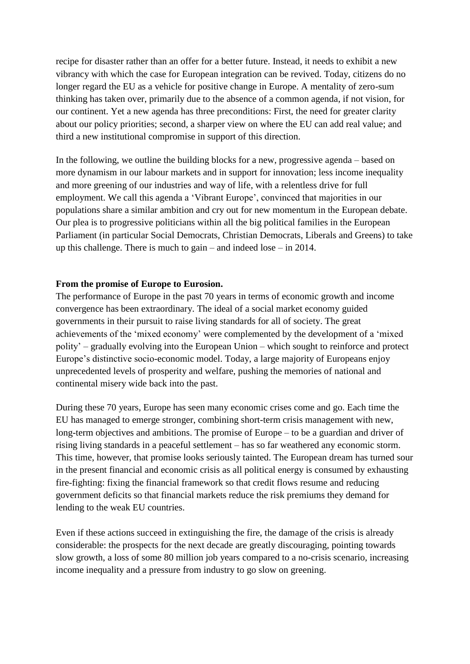recipe for disaster rather than an offer for a better future. Instead, it needs to exhibit a new vibrancy with which the case for European integration can be revived. Today, citizens do no longer regard the EU as a vehicle for positive change in Europe. A mentality of zero-sum thinking has taken over, primarily due to the absence of a common agenda, if not vision, for our continent. Yet a new agenda has three preconditions: First, the need for greater clarity about our policy priorities; second, a sharper view on where the EU can add real value; and third a new institutional compromise in support of this direction.

In the following, we outline the building blocks for a new, progressive agenda – based on more dynamism in our labour markets and in support for innovation; less income inequality and more greening of our industries and way of life, with a relentless drive for full employment. We call this agenda a 'Vibrant Europe', convinced that majorities in our populations share a similar ambition and cry out for new momentum in the European debate. Our plea is to progressive politicians within all the big political families in the European Parliament (in particular Social Democrats, Christian Democrats, Liberals and Greens) to take up this challenge. There is much to gain – and indeed lose – in 2014.

#### **From the promise of Europe to Eurosion.**

The performance of Europe in the past 70 years in terms of economic growth and income convergence has been extraordinary. The ideal of a social market economy guided governments in their pursuit to raise living standards for all of society. The great achievements of the "mixed economy" were complemented by the development of a "mixed polity" – gradually evolving into the European Union – which sought to reinforce and protect Europe"s distinctive socio-economic model. Today, a large majority of Europeans enjoy unprecedented levels of prosperity and welfare, pushing the memories of national and continental misery wide back into the past.

During these 70 years, Europe has seen many economic crises come and go. Each time the EU has managed to emerge stronger, combining short-term crisis management with new, long-term objectives and ambitions. The promise of Europe – to be a guardian and driver of rising living standards in a peaceful settlement – has so far weathered any economic storm. This time, however, that promise looks seriously tainted. The European dream has turned sour in the present financial and economic crisis as all political energy is consumed by exhausting fire-fighting: fixing the financial framework so that credit flows resume and reducing government deficits so that financial markets reduce the risk premiums they demand for lending to the weak EU countries.

Even if these actions succeed in extinguishing the fire, the damage of the crisis is already considerable: the prospects for the next decade are greatly discouraging, pointing towards slow growth, a loss of some 80 million job years compared to a no-crisis scenario, increasing income inequality and a pressure from industry to go slow on greening.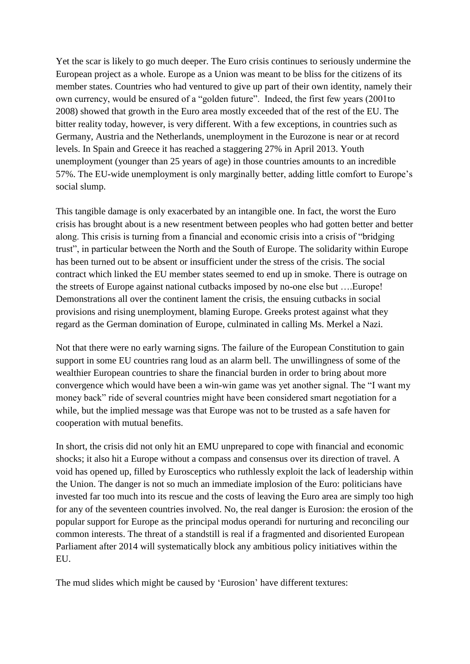Yet the scar is likely to go much deeper. The Euro crisis continues to seriously undermine the European project as a whole. Europe as a Union was meant to be bliss for the citizens of its member states. Countries who had ventured to give up part of their own identity, namely their own currency, would be ensured of a "golden future". Indeed, the first few years (2001to 2008) showed that growth in the Euro area mostly exceeded that of the rest of the EU. The bitter reality today, however, is very different. With a few exceptions, in countries such as Germany, Austria and the Netherlands, unemployment in the Eurozone is near or at record levels. In Spain and Greece it has reached a staggering 27% in April 2013. Youth unemployment (younger than 25 years of age) in those countries amounts to an incredible 57%. The EU-wide unemployment is only marginally better, adding little comfort to Europe"s social slump.

This tangible damage is only exacerbated by an intangible one. In fact, the worst the Euro crisis has brought about is a new resentment between peoples who had gotten better and better along. This crisis is turning from a financial and economic crisis into a crisis of "bridging trust", in particular between the North and the South of Europe. The solidarity within Europe has been turned out to be absent or insufficient under the stress of the crisis. The social contract which linked the EU member states seemed to end up in smoke. There is outrage on the streets of Europe against national cutbacks imposed by no-one else but ….Europe! Demonstrations all over the continent lament the crisis, the ensuing cutbacks in social provisions and rising unemployment, blaming Europe. Greeks protest against what they regard as the German domination of Europe, culminated in calling Ms. Merkel a Nazi.

Not that there were no early warning signs. The failure of the European Constitution to gain support in some EU countries rang loud as an alarm bell. The unwillingness of some of the wealthier European countries to share the financial burden in order to bring about more convergence which would have been a win-win game was yet another signal. The "I want my money back" ride of several countries might have been considered smart negotiation for a while, but the implied message was that Europe was not to be trusted as a safe haven for cooperation with mutual benefits.

In short, the crisis did not only hit an EMU unprepared to cope with financial and economic shocks; it also hit a Europe without a compass and consensus over its direction of travel. A void has opened up, filled by Eurosceptics who ruthlessly exploit the lack of leadership within the Union. The danger is not so much an immediate implosion of the Euro: politicians have invested far too much into its rescue and the costs of leaving the Euro area are simply too high for any of the seventeen countries involved. No, the real danger is Eurosion: the erosion of the popular support for Europe as the principal modus operandi for nurturing and reconciling our common interests. The threat of a standstill is real if a fragmented and disoriented European Parliament after 2014 will systematically block any ambitious policy initiatives within the EU.

The mud slides which might be caused by "Eurosion" have different textures: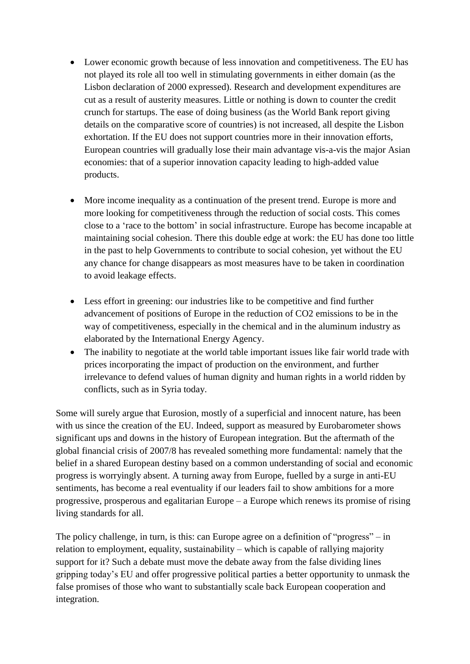- Lower economic growth because of less innovation and competitiveness. The EU has not played its role all too well in stimulating governments in either domain (as the Lisbon declaration of 2000 expressed). Research and development expenditures are cut as a result of austerity measures. Little or nothing is down to counter the credit crunch for startups. The ease of doing business (as the World Bank report giving details on the comparative score of countries) is not increased, all despite the Lisbon exhortation. If the EU does not support countries more in their innovation efforts, European countries will gradually lose their main advantage vis-a-vis the major Asian economies: that of a superior innovation capacity leading to high-added value products.
- More income inequality as a continuation of the present trend. Europe is more and more looking for competitiveness through the reduction of social costs. This comes close to a "race to the bottom" in social infrastructure. Europe has become incapable at maintaining social cohesion. There this double edge at work: the EU has done too little in the past to help Governments to contribute to social cohesion, yet without the EU any chance for change disappears as most measures have to be taken in coordination to avoid leakage effects.
- Less effort in greening: our industries like to be competitive and find further advancement of positions of Europe in the reduction of CO2 emissions to be in the way of competitiveness, especially in the chemical and in the aluminum industry as elaborated by the International Energy Agency.
- The inability to negotiate at the world table important issues like fair world trade with prices incorporating the impact of production on the environment, and further irrelevance to defend values of human dignity and human rights in a world ridden by conflicts, such as in Syria today.

Some will surely argue that Eurosion, mostly of a superficial and innocent nature, has been with us since the creation of the EU. Indeed, support as measured by Eurobarometer shows significant ups and downs in the history of European integration. But the aftermath of the global financial crisis of 2007/8 has revealed something more fundamental: namely that the belief in a shared European destiny based on a common understanding of social and economic progress is worryingly absent. A turning away from Europe, fuelled by a surge in anti-EU sentiments, has become a real eventuality if our leaders fail to show ambitions for a more progressive, prosperous and egalitarian Europe – a Europe which renews its promise of rising living standards for all.

The policy challenge, in turn, is this: can Europe agree on a definition of "progress" – in relation to employment, equality, sustainability – which is capable of rallying majority support for it? Such a debate must move the debate away from the false dividing lines gripping today"s EU and offer progressive political parties a better opportunity to unmask the false promises of those who want to substantially scale back European cooperation and integration.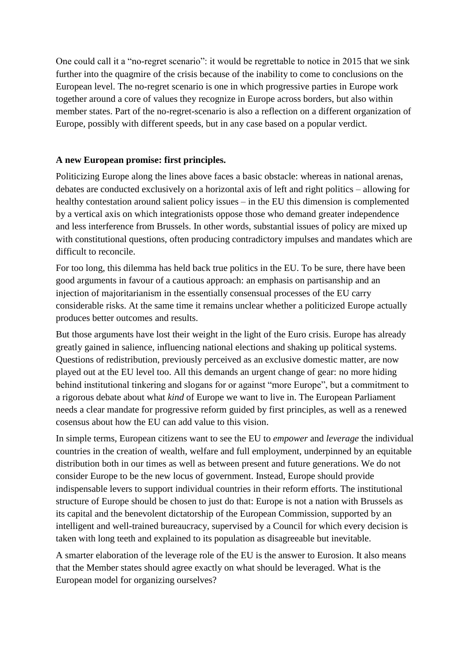One could call it a "no-regret scenario": it would be regrettable to notice in 2015 that we sink further into the quagmire of the crisis because of the inability to come to conclusions on the European level. The no-regret scenario is one in which progressive parties in Europe work together around a core of values they recognize in Europe across borders, but also within member states. Part of the no-regret-scenario is also a reflection on a different organization of Europe, possibly with different speeds, but in any case based on a popular verdict.

### **A new European promise: first principles.**

Politicizing Europe along the lines above faces a basic obstacle: whereas in national arenas, debates are conducted exclusively on a horizontal axis of left and right politics – allowing for healthy contestation around salient policy issues – in the EU this dimension is complemented by a vertical axis on which integrationists oppose those who demand greater independence and less interference from Brussels. In other words, substantial issues of policy are mixed up with constitutional questions, often producing contradictory impulses and mandates which are difficult to reconcile.

For too long, this dilemma has held back true politics in the EU. To be sure, there have been good arguments in favour of a cautious approach: an emphasis on partisanship and an injection of majoritarianism in the essentially consensual processes of the EU carry considerable risks. At the same time it remains unclear whether a politicized Europe actually produces better outcomes and results.

But those arguments have lost their weight in the light of the Euro crisis. Europe has already greatly gained in salience, influencing national elections and shaking up political systems. Questions of redistribution, previously perceived as an exclusive domestic matter, are now played out at the EU level too. All this demands an urgent change of gear: no more hiding behind institutional tinkering and slogans for or against "more Europe", but a commitment to a rigorous debate about what *kind* of Europe we want to live in. The European Parliament needs a clear mandate for progressive reform guided by first principles, as well as a renewed cosensus about how the EU can add value to this vision.

In simple terms, European citizens want to see the EU to *empower* and *leverage* the individual countries in the creation of wealth, welfare and full employment, underpinned by an equitable distribution both in our times as well as between present and future generations. We do not consider Europe to be the new locus of government. Instead, Europe should provide indispensable levers to support individual countries in their reform efforts. The institutional structure of Europe should be chosen to just do that: Europe is not a nation with Brussels as its capital and the benevolent dictatorship of the European Commission, supported by an intelligent and well-trained bureaucracy, supervised by a Council for which every decision is taken with long teeth and explained to its population as disagreeable but inevitable.

A smarter elaboration of the leverage role of the EU is the answer to Eurosion. It also means that the Member states should agree exactly on what should be leveraged. What is the European model for organizing ourselves?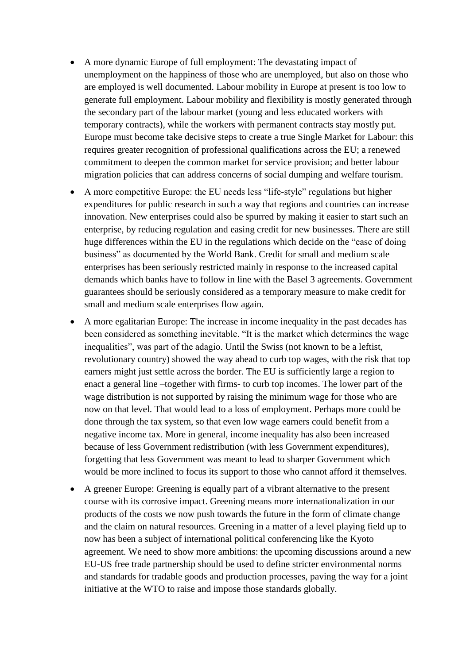- A more dynamic Europe of full employment: The devastating impact of unemployment on the happiness of those who are unemployed, but also on those who are employed is well documented. Labour mobility in Europe at present is too low to generate full employment. Labour mobility and flexibility is mostly generated through the secondary part of the labour market (young and less educated workers with temporary contracts), while the workers with permanent contracts stay mostly put. Europe must become take decisive steps to create a true Single Market for Labour: this requires greater recognition of professional qualifications across the EU; a renewed commitment to deepen the common market for service provision; and better labour migration policies that can address concerns of social dumping and welfare tourism.
- A more competitive Europe: the EU needs less "life-style" regulations but higher expenditures for public research in such a way that regions and countries can increase innovation. New enterprises could also be spurred by making it easier to start such an enterprise, by reducing regulation and easing credit for new businesses. There are still huge differences within the EU in the regulations which decide on the "ease of doing business" as documented by the World Bank. Credit for small and medium scale enterprises has been seriously restricted mainly in response to the increased capital demands which banks have to follow in line with the Basel 3 agreements. Government guarantees should be seriously considered as a temporary measure to make credit for small and medium scale enterprises flow again.
- A more egalitarian Europe: The increase in income inequality in the past decades has been considered as something inevitable. "It is the market which determines the wage inequalities", was part of the adagio. Until the Swiss (not known to be a leftist, revolutionary country) showed the way ahead to curb top wages, with the risk that top earners might just settle across the border. The EU is sufficiently large a region to enact a general line –together with firms- to curb top incomes. The lower part of the wage distribution is not supported by raising the minimum wage for those who are now on that level. That would lead to a loss of employment. Perhaps more could be done through the tax system, so that even low wage earners could benefit from a negative income tax. More in general, income inequality has also been increased because of less Government redistribution (with less Government expenditures), forgetting that less Government was meant to lead to sharper Government which would be more inclined to focus its support to those who cannot afford it themselves.
- A greener Europe: Greening is equally part of a vibrant alternative to the present course with its corrosive impact. Greening means more internationalization in our products of the costs we now push towards the future in the form of climate change and the claim on natural resources. Greening in a matter of a level playing field up to now has been a subject of international political conferencing like the Kyoto agreement. We need to show more ambitions: the upcoming discussions around a new EU-US free trade partnership should be used to define stricter environmental norms and standards for tradable goods and production processes, paving the way for a joint initiative at the WTO to raise and impose those standards globally.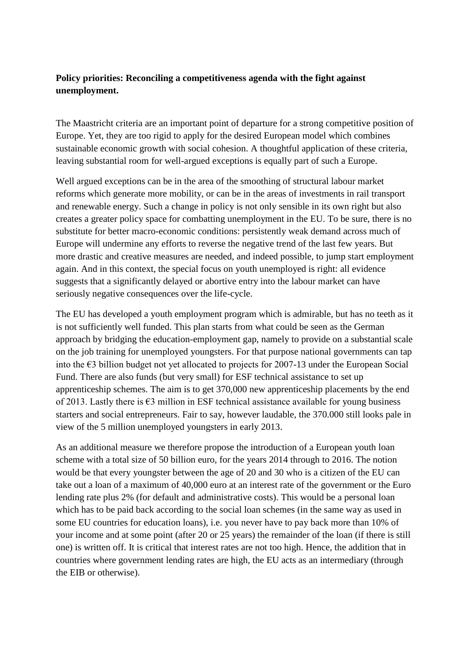## **Policy priorities: Reconciling a competitiveness agenda with the fight against unemployment.**

The Maastricht criteria are an important point of departure for a strong competitive position of Europe. Yet, they are too rigid to apply for the desired European model which combines sustainable economic growth with social cohesion. A thoughtful application of these criteria, leaving substantial room for well-argued exceptions is equally part of such a Europe.

Well argued exceptions can be in the area of the smoothing of structural labour market reforms which generate more mobility, or can be in the areas of investments in rail transport and renewable energy. Such a change in policy is not only sensible in its own right but also creates a greater policy space for combatting unemployment in the EU. To be sure, there is no substitute for better macro-economic conditions: persistently weak demand across much of Europe will undermine any efforts to reverse the negative trend of the last few years. But more drastic and creative measures are needed, and indeed possible, to jump start employment again. And in this context, the special focus on youth unemployed is right: all evidence suggests that a significantly delayed or abortive entry into the labour market can have seriously negative consequences over the life-cycle.

The EU has developed a youth employment program which is admirable, but has no teeth as it is not sufficiently well funded. This plan starts from what could be seen as the German approach by bridging the education-employment gap, namely to provide on a substantial scale on the job training for unemployed youngsters. For that purpose national governments can tap into the €3 billion budget not yet allocated to projects for 2007-13 under the European Social Fund. There are also funds (but very small) for ESF technical assistance to set up [apprenticeship schemes.](http://ec.europa.eu/social/main.jsp?catId=1045&langId=en) The aim is to get 370,000 new apprenticeship placements by the end of 2013. Lastly there is €3 million in ESF technical assistance available for [young business](http://ec.europa.eu/social/main.jsp?catId=952&langId=en)  [starters](http://ec.europa.eu/social/main.jsp?catId=952&langId=en) and social entrepreneurs. Fair to say, however laudable, the 370.000 still looks pale in view of the 5 million unemployed youngsters in early 2013.

As an additional measure we therefore propose the introduction of a European youth loan scheme with a total size of 50 billion euro, for the years 2014 through to 2016. The notion would be that every youngster between the age of 20 and 30 who is a citizen of the EU can take out a loan of a maximum of 40,000 euro at an interest rate of the government or the Euro lending rate plus 2% (for default and administrative costs). This would be a personal loan which has to be paid back according to the social loan schemes (in the same way as used in some EU countries for education loans), i.e. you never have to pay back more than 10% of your income and at some point (after 20 or 25 years) the remainder of the loan (if there is still one) is written off. It is critical that interest rates are not too high. Hence, the addition that in countries where government lending rates are high, the EU acts as an intermediary (through the EIB or otherwise).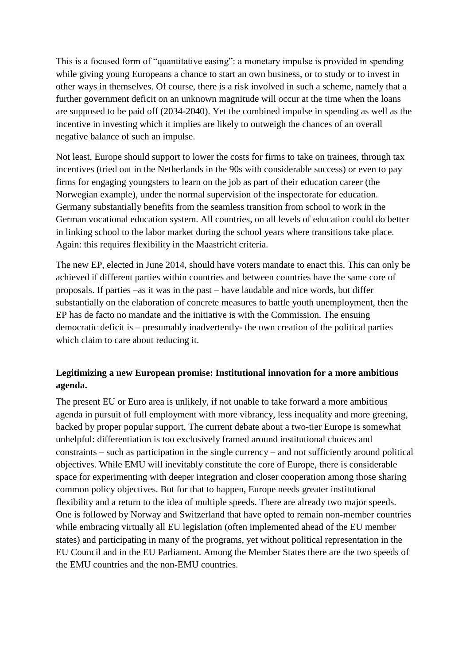This is a focused form of "quantitative easing": a monetary impulse is provided in spending while giving young Europeans a chance to start an own business, or to study or to invest in other ways in themselves. Of course, there is a risk involved in such a scheme, namely that a further government deficit on an unknown magnitude will occur at the time when the loans are supposed to be paid off (2034-2040). Yet the combined impulse in spending as well as the incentive in investing which it implies are likely to outweigh the chances of an overall negative balance of such an impulse.

Not least, Europe should support to lower the costs for firms to take on trainees, through tax incentives (tried out in the Netherlands in the 90s with considerable success) or even to pay firms for engaging youngsters to learn on the job as part of their education career (the Norwegian example), under the normal supervision of the inspectorate for education. Germany substantially benefits from the seamless transition from school to work in the German vocational education system. All countries, on all levels of education could do better in linking school to the labor market during the school years where transitions take place. Again: this requires flexibility in the Maastricht criteria.

The new EP, elected in June 2014, should have voters mandate to enact this. This can only be achieved if different parties within countries and between countries have the same core of proposals. If parties –as it was in the past – have laudable and nice words, but differ substantially on the elaboration of concrete measures to battle youth unemployment, then the EP has de facto no mandate and the initiative is with the Commission. The ensuing democratic deficit is – presumably inadvertently- the own creation of the political parties which claim to care about reducing it.

## **Legitimizing a new European promise: Institutional innovation for a more ambitious agenda.**

The present EU or Euro area is unlikely, if not unable to take forward a more ambitious agenda in pursuit of full employment with more vibrancy, less inequality and more greening, backed by proper popular support. The current debate about a two-tier Europe is somewhat unhelpful: differentiation is too exclusively framed around institutional choices and constraints – such as participation in the single currency – and not sufficiently around political objectives. While EMU will inevitably constitute the core of Europe, there is considerable space for experimenting with deeper integration and closer cooperation among those sharing common policy objectives. But for that to happen, Europe needs greater institutional flexibility and a return to the idea of multiple speeds. There are already two major speeds. One is followed by Norway and Switzerland that have opted to remain non-member countries while embracing virtually all EU legislation (often implemented ahead of the EU member states) and participating in many of the programs, yet without political representation in the EU Council and in the EU Parliament. Among the Member States there are the two speeds of the EMU countries and the non-EMU countries.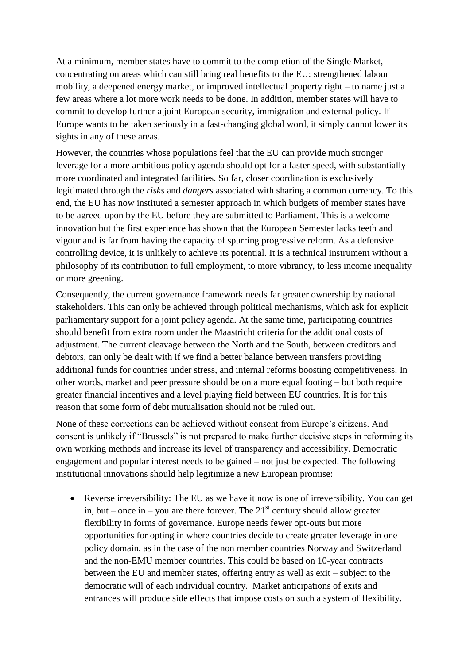At a minimum, member states have to commit to the completion of the Single Market, concentrating on areas which can still bring real benefits to the EU: strengthened labour mobility, a deepened energy market, or improved intellectual property right – to name just a few areas where a lot more work needs to be done. In addition, member states will have to commit to develop further a joint European security, immigration and external policy. If Europe wants to be taken seriously in a fast-changing global word, it simply cannot lower its sights in any of these areas.

However, the countries whose populations feel that the EU can provide much stronger leverage for a more ambitious policy agenda should opt for a faster speed, with substantially more coordinated and integrated facilities. So far, closer coordination is exclusively legitimated through the *risks* and *dangers* associated with sharing a common currency. To this end, the EU has now instituted a semester approach in which budgets of member states have to be agreed upon by the EU before they are submitted to Parliament. This is a welcome innovation but the first experience has shown that the European Semester lacks teeth and vigour and is far from having the capacity of spurring progressive reform. As a defensive controlling device, it is unlikely to achieve its potential. It is a technical instrument without a philosophy of its contribution to full employment, to more vibrancy, to less income inequality or more greening.

Consequently, the current governance framework needs far greater ownership by national stakeholders. This can only be achieved through political mechanisms, which ask for explicit parliamentary support for a joint policy agenda. At the same time, participating countries should benefit from extra room under the Maastricht criteria for the additional costs of adjustment. The current cleavage between the North and the South, between creditors and debtors, can only be dealt with if we find a better balance between transfers providing additional funds for countries under stress, and internal reforms boosting competitiveness. In other words, market and peer pressure should be on a more equal footing – but both require greater financial incentives and a level playing field between EU countries. It is for this reason that some form of debt mutualisation should not be ruled out.

None of these corrections can be achieved without consent from Europe"s citizens. And consent is unlikely if "Brussels" is not prepared to make further decisive steps in reforming its own working methods and increase its level of transparency and accessibility. Democratic engagement and popular interest needs to be gained – not just be expected. The following institutional innovations should help legitimize a new European promise:

 Reverse irreversibility: The EU as we have it now is one of irreversibility. You can get in, but – once in – you are there forever. The  $21<sup>st</sup>$  century should allow greater flexibility in forms of governance. Europe needs fewer opt-outs but more opportunities for opting in where countries decide to create greater leverage in one policy domain, as in the case of the non member countries Norway and Switzerland and the non-EMU member countries. This could be based on 10-year contracts between the EU and member states, offering entry as well as exit – subject to the democratic will of each individual country. Market anticipations of exits and entrances will produce side effects that impose costs on such a system of flexibility.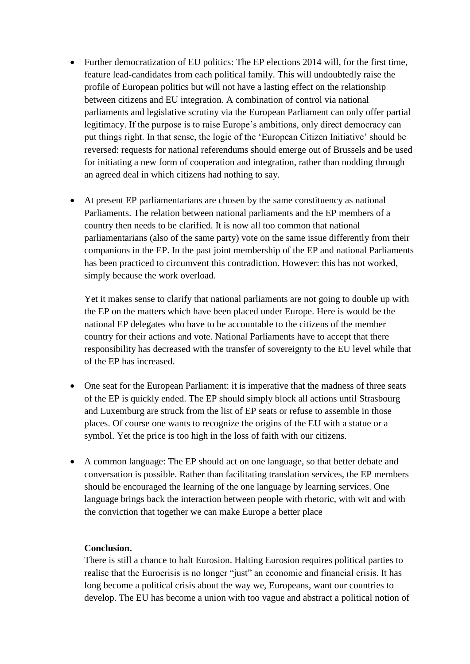- Further democratization of EU politics: The EP elections 2014 will, for the first time, feature lead-candidates from each political family. This will undoubtedly raise the profile of European politics but will not have a lasting effect on the relationship between citizens and EU integration. A combination of control via national parliaments and legislative scrutiny via the European Parliament can only offer partial legitimacy. If the purpose is to raise Europe's ambitions, only direct democracy can put things right. In that sense, the logic of the "European Citizen Initiative" should be reversed: requests for national referendums should emerge out of Brussels and be used for initiating a new form of cooperation and integration, rather than nodding through an agreed deal in which citizens had nothing to say.
- At present EP parliamentarians are chosen by the same constituency as national Parliaments. The relation between national parliaments and the EP members of a country then needs to be clarified. It is now all too common that national parliamentarians (also of the same party) vote on the same issue differently from their companions in the EP. In the past joint membership of the EP and national Parliaments has been practiced to circumvent this contradiction. However: this has not worked, simply because the work overload.

Yet it makes sense to clarify that national parliaments are not going to double up with the EP on the matters which have been placed under Europe. Here is would be the national EP delegates who have to be accountable to the citizens of the member country for their actions and vote. National Parliaments have to accept that there responsibility has decreased with the transfer of sovereignty to the EU level while that of the EP has increased.

- One seat for the European Parliament: it is imperative that the madness of three seats of the EP is quickly ended. The EP should simply block all actions until Strasbourg and Luxemburg are struck from the list of EP seats or refuse to assemble in those places. Of course one wants to recognize the origins of the EU with a statue or a symbol. Yet the price is too high in the loss of faith with our citizens.
- A common language: The EP should act on one language, so that better debate and conversation is possible. Rather than facilitating translation services, the EP members should be encouraged the learning of the one language by learning services. One language brings back the interaction between people with rhetoric, with wit and with the conviction that together we can make Europe a better place

#### **Conclusion.**

There is still a chance to halt Eurosion. Halting Eurosion requires political parties to realise that the Eurocrisis is no longer "just" an economic and financial crisis. It has long become a political crisis about the way we, Europeans, want our countries to develop. The EU has become a union with too vague and abstract a political notion of